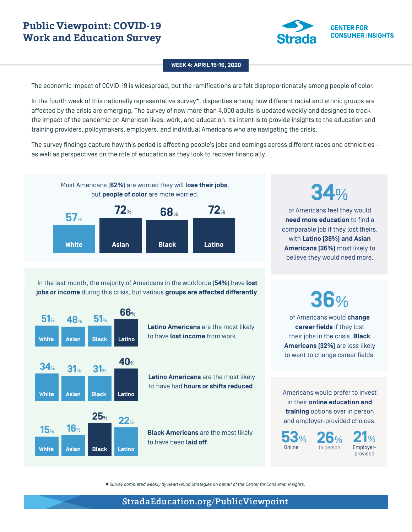

### **WEEK 4: APRIL 15-16, 2020**

The economic impact of COVID-19 is widespread, but the ramifications are felt disproportionately among people of color.

In the fourth week of this nationally representative survey\*, disparities among how different racial and ethnic groups are affected by the crisis are emerging. The survey of now more than 4,000 adults is updated weekly and designed to track the impact of the pandemic on American lives, work, and education. Its intent is to provide insights to the education and training providers, policymakers, employers, and individual Americans who are navigating the crisis.

The survey findings capture how this period is affecting people's jobs and earnings across different races and ethnicities as well as perspectives on the role of education as they look to recover financially.



In the last month, the majority of Americans in the workforce (**54%**) have **lost jobs or income** during this crisis, but various **groups are affected differently**.



**Latino Americans** are the most likely to have **lost income** from work.

**Latino Americans** are the most likely to have had **hours or shifts reduced**.

**Black Americans** are the most likely<br>to have been laid off. **26**%

**34**%

of Americans feel they would **need more education** to find a comparable job if they lost theirs, with **Latino (38%) and Asian Americans (36%)** most likely to believe they would need more.

**36**%

of Americans would **change career fields** if they lost their jobs in the crisis. **Black Americans (32%)** are less likely to want to change career fields.

Americans would prefer to invest in their **online education and training** options over in person and employer-provided choices.

In person

**53**% Online

**21**% Employerprovided

*\* Survey completed weekly by Heart+Mind Strategies on behalf of the Center for Consumer Insights.*

# StradaEducation.org/PublicViewpoint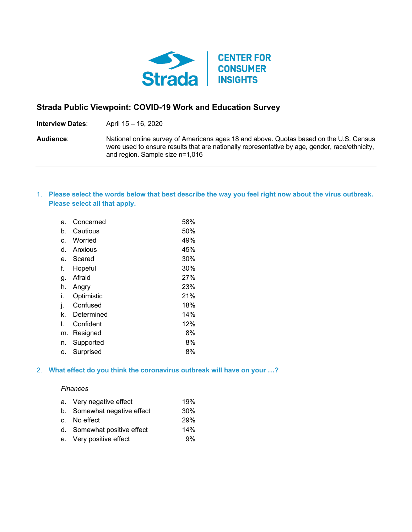

# **Strada Public Viewpoint: COVID-19 Work and Education Survey**

**Interview Dates**: April 15 – 16, 2020

**Audience**: National online survey of Americans ages 18 and above. Quotas based on the U.S. Census were used to ensure results that are nationally representative by age, gender, race/ethnicity, and region. Sample size n=1,016

# 1. **Please select the words below that best describe the way you feel right now about the virus outbreak. Please select all that apply.**

| a. | Concerned  | 58% |
|----|------------|-----|
| b. | Cautious   | 50% |
| c. | Worried    | 49% |
| d. | Anxious    | 45% |
| е. | Scared     | 30% |
| f. | Hopeful    | 30% |
| g. | Afraid     | 27% |
| h. | Angry      | 23% |
| i. | Optimistic | 21% |
| j. | Confused   | 18% |
| k. | Determined | 14% |
| I. | Confident  | 12% |
| m. | Resigned   | 8%  |
| n. | Supported  | 8%  |
| о. | Surprised  | 8%  |

## 2. **What effect do you think the coronavirus outbreak will have on your …?**

### *Finances*

| a. Very negative effect     | 19% |
|-----------------------------|-----|
| b. Somewhat negative effect | 30% |
| c. No effect                | 29% |
| d. Somewhat positive effect | 14% |
| e. Very positive effect     | 9%  |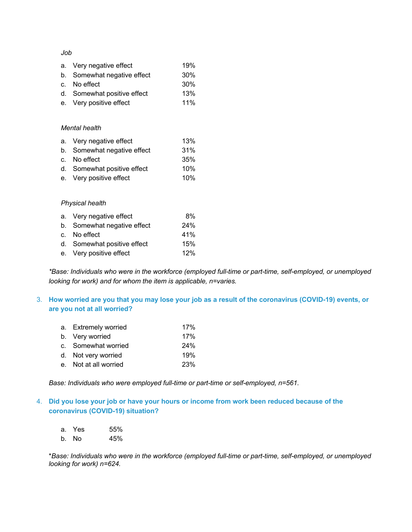*Job*

| a. Very negative effect     | 19% |
|-----------------------------|-----|
| b. Somewhat negative effect | 30% |
| c. No effect                | 30% |
| d. Somewhat positive effect | 13% |
| e. Very positive effect     | 11% |

### *Mental health*

| a. Very negative effect     | 13% |
|-----------------------------|-----|
| b. Somewhat negative effect | 31% |
| c. No effect                | 35% |
| d. Somewhat positive effect | 10% |
| e. Very positive effect     | 10% |

## *Physical health*

| a. Very negative effect     | 8%  |
|-----------------------------|-----|
| b. Somewhat negative effect | 24% |
| c. No effect                | 41% |
| d. Somewhat positive effect | 15% |
| e. Very positive effect     | 12% |

*\*Base: Individuals who were in the workforce (employed full-time or part-time, self-employed, or unemployed looking for work) and for whom the item is applicable, n=varies.*

# 3. **How worried are you that you may lose your job as a result of the coronavirus (COVID-19) events, or are you not at all worried?**

| a. Extremely worried  | 17% |
|-----------------------|-----|
| b. Very worried       | 17% |
| c. Somewhat worried   | 24% |
| d. Not very worried   | 19% |
| e. Not at all worried | 23% |

*Base: Individuals who were employed full-time or part-time or self-employed, n=561.*

# 4. **Did you lose your job or have your hours or income from work been reduced because of the coronavirus (COVID-19) situation?**

|    | a. Yes | 55% |
|----|--------|-----|
| b. | No     | 45% |

\**Base: Individuals who were in the workforce (employed full-time or part-time, self-employed, or unemployed looking for work) n=624.*